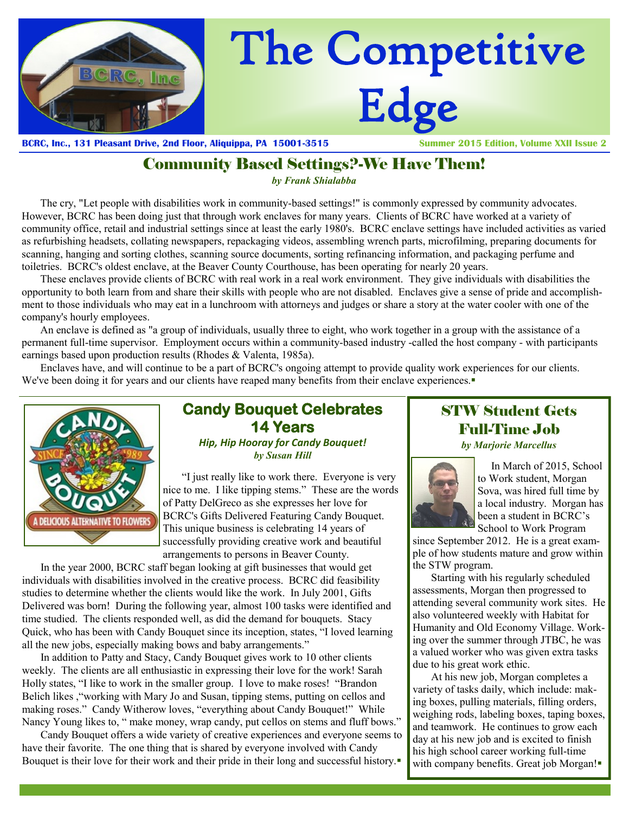

**BCRC, Inc., 131 Pleasant Drive, 2nd Floor, Aliquippa, PA 15001-3515 Summer 2015 Edition, Volume XXII Issue 2**

# Community Based Settings?-We Have Them!

*by Frank Shialabba*

The cry, "Let people with disabilities work in community-based settings!" is commonly expressed by community advocates. However, BCRC has been doing just that through work enclaves for many years. Clients of BCRC have worked at a variety of community office, retail and industrial settings since at least the early 1980's. BCRC enclave settings have included activities as varied as refurbishing headsets, collating newspapers, repackaging videos, assembling wrench parts, microfilming, preparing documents for scanning, hanging and sorting clothes, scanning source documents, sorting refinancing information, and packaging perfume and toiletries. BCRC's oldest enclave, at the Beaver County Courthouse, has been operating for nearly 20 years.

These enclaves provide clients of BCRC with real work in a real work environment. They give individuals with disabilities the opportunity to both learn from and share their skills with people who are not disabled. Enclaves give a sense of pride and accomplishment to those individuals who may eat in a lunchroom with attorneys and judges or share a story at the water cooler with one of the company's hourly employees.

An enclave is defined as "a group of individuals, usually three to eight, who work together in a group with the assistance of a permanent full-time supervisor. Employment occurs within a community-based industry -called the host company - with participants earnings based upon production results (Rhodes & Valenta, 1985a).

Enclaves have, and will continue to be a part of BCRC's ongoing attempt to provide quality work experiences for our clients. We've been doing it for years and our clients have reaped many benefits from their enclave experiences.



### **Candy Bouquet Celebrates 14 Years**  *Hip, Hip Hooray for Candy Bouquet! by Susan Hill*

 "I just really like to work there. Everyone is very nice to me. I like tipping stems." These are the words of Patty DelGreco as she expresses her love for BCRC's Gifts Delivered Featuring Candy Bouquet. This unique business is celebrating 14 years of successfully providing creative work and beautiful arrangements to persons in Beaver County.

In the year 2000, BCRC staff began looking at gift businesses that would get individuals with disabilities involved in the creative process. BCRC did feasibility studies to determine whether the clients would like the work. In July 2001, Gifts Delivered was born! During the following year, almost 100 tasks were identified and time studied. The clients responded well, as did the demand for bouquets. Stacy Quick, who has been with Candy Bouquet since its inception, states, "I loved learning all the new jobs, especially making bows and baby arrangements."

In addition to Patty and Stacy, Candy Bouquet gives work to 10 other clients weekly. The clients are all enthusiastic in expressing their love for the work! Sarah Holly states, "I like to work in the smaller group. I love to make roses! "Brandon Belich likes ,"working with Mary Jo and Susan, tipping stems, putting on cellos and making roses." Candy Witherow loves, "everything about Candy Bouquet!" While Nancy Young likes to, " make money, wrap candy, put cellos on stems and fluff bows."

Candy Bouquet offers a wide variety of creative experiences and everyone seems to have their favorite. The one thing that is shared by everyone involved with Candy Bouquet is their love for their work and their pride in their long and successful history.

# STW Student Gets Full-Time Job *by Marjorie Marcellus*



 In March of 2015, School to Work student, Morgan Sova, was hired full time by a local industry. Morgan has been a student in BCRC's School to Work Program

since September 2012. He is a great example of how students mature and grow within the STW program.

Starting with his regularly scheduled assessments, Morgan then progressed to attending several community work sites. He also volunteered weekly with Habitat for Humanity and Old Economy Village. Working over the summer through JTBC, he was a valued worker who was given extra tasks due to his great work ethic.

At his new job, Morgan completes a variety of tasks daily, which include: making boxes, pulling materials, filling orders, weighing rods, labeling boxes, taping boxes, and teamwork. He continues to grow each day at his new job and is excited to finish his high school career working full-time with company benefits. Great job Morgan!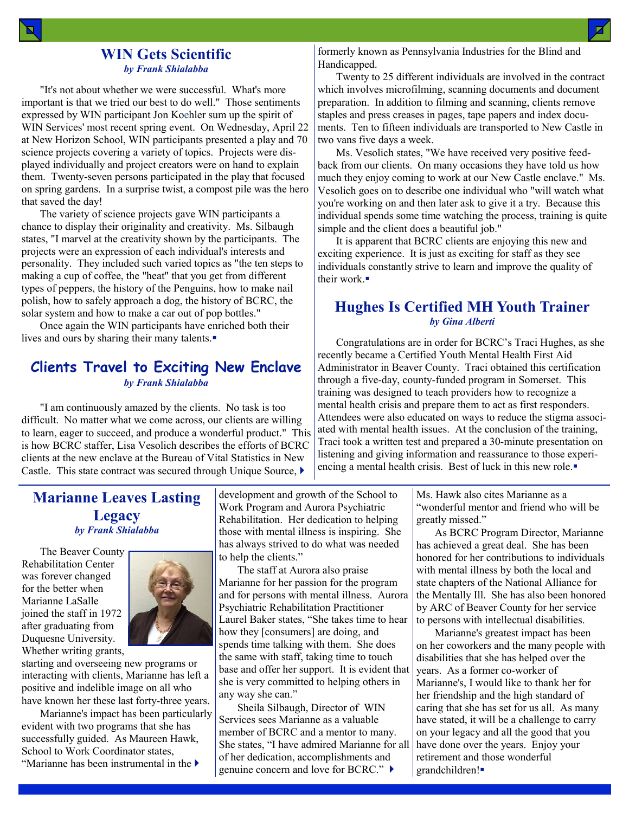### **WIN Gets Scientific** *by Frank Shialabba*

"It's not about whether we were successful. What's more important is that we tried our best to do well." Those sentiments expressed by WIN participant Jon Koehler sum up the spirit of WIN Services' most recent spring event. On Wednesday, April 22 at New Horizon School, WIN participants presented a play and 70 science projects covering a variety of topics. Projects were displayed individually and project creators were on hand to explain them. Twenty-seven persons participated in the play that focused on spring gardens. In a surprise twist, a compost pile was the hero that saved the day!

The variety of science projects gave WIN participants a chance to display their originality and creativity. Ms. Silbaugh states, "I marvel at the creativity shown by the participants. The projects were an expression of each individual's interests and personality. They included such varied topics as "the ten steps to making a cup of coffee, the "heat" that you get from different types of peppers, the history of the Penguins, how to make nail polish, how to safely approach a dog, the history of BCRC, the solar system and how to make a car out of pop bottles."

Once again the WIN participants have enriched both their lives and ours by sharing their many talents.

### **Clients Travel to Exciting New Enclave** *by Frank Shialabba*

"I am continuously amazed by the clients. No task is too difficult. No matter what we come across, our clients are willing to learn, eager to succeed, and produce a wonderful product." This is how BCRC staffer, Lisa Vesolich describes the efforts of BCRC clients at the new enclave at the Bureau of Vital Statistics in New Castle. This state contract was secured through Unique Source,

formerly known as Pennsylvania Industries for the Blind and Handicapped.

Twenty to 25 different individuals are involved in the contract which involves microfilming, scanning documents and document preparation. In addition to filming and scanning, clients remove staples and press creases in pages, tape papers and index documents. Ten to fifteen individuals are transported to New Castle in two vans five days a week.

Ms. Vesolich states, "We have received very positive feedback from our clients. On many occasions they have told us how much they enjoy coming to work at our New Castle enclave." Ms. Vesolich goes on to describe one individual who "will watch what you're working on and then later ask to give it a try. Because this individual spends some time watching the process, training is quite simple and the client does a beautiful job."

It is apparent that BCRC clients are enjoying this new and exciting experience. It is just as exciting for staff as they see individuals constantly strive to learn and improve the quality of their work $\blacksquare$ 

### **Hughes Is Certified MH Youth Trainer** *by Gina Alberti*

Congratulations are in order for BCRC's Traci Hughes, as she recently became a Certified Youth Mental Health First Aid Administrator in Beaver County. Traci obtained this certification through a five-day, county-funded program in Somerset. This training was designed to teach providers how to recognize a mental health crisis and prepare them to act as first responders. Attendees were also educated on ways to reduce the stigma associated with mental health issues. At the conclusion of the training, Traci took a written test and prepared a 30-minute presentation on listening and giving information and reassurance to those experiencing a mental health crisis. Best of luck in this new role.

# **Marianne Leaves Lasting Legacy** *by Frank Shialabba*

The Beaver County Rehabilitation Center was forever changed for the better when Marianne LaSalle joined the staff in 1972 after graduating from Duquesne University. Whether writing grants,



starting and overseeing new programs or interacting with clients, Marianne has left a positive and indelible image on all who have known her these last forty-three years.

Marianne's impact has been particularly evident with two programs that she has successfully guided. As Maureen Hawk, School to Work Coordinator states, "Marianne has been instrumental in the

development and growth of the School to Work Program and Aurora Psychiatric Rehabilitation. Her dedication to helping those with mental illness is inspiring. She has always strived to do what was needed to help the clients."

The staff at Aurora also praise Marianne for her passion for the program and for persons with mental illness. Aurora Psychiatric Rehabilitation Practitioner Laurel Baker states, "She takes time to hear how they [consumers] are doing, and spends time talking with them. She does the same with staff, taking time to touch base and offer her support. It is evident that she is very committed to helping others in any way she can."

Sheila Silbaugh, Director of WIN Services sees Marianne as a valuable member of BCRC and a mentor to many. She states, "I have admired Marianne for all of her dedication, accomplishments and genuine concern and love for BCRC." ▶

Ms. Hawk also cites Marianne as a "wonderful mentor and friend who will be greatly missed."

As BCRC Program Director, Marianne has achieved a great deal. She has been honored for her contributions to individuals with mental illness by both the local and state chapters of the National Alliance for the Mentally Ill. She has also been honored by ARC of Beaver County for her service to persons with intellectual disabilities.

Marianne's greatest impact has been on her coworkers and the many people with disabilities that she has helped over the years. As a former co-worker of Marianne's, I would like to thank her for her friendship and the high standard of caring that she has set for us all. As many have stated, it will be a challenge to carry on your legacy and all the good that you have done over the years. Enjoy your retirement and those wonderful grandchildren!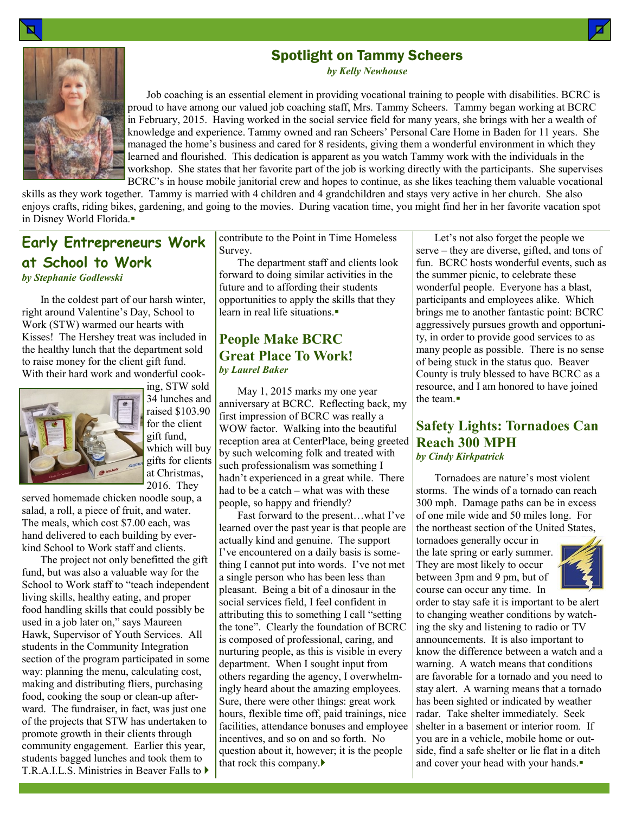# Spotlight on Tammy Scheers

*by Kelly Newhouse*

 Job coaching is an essential element in providing vocational training to people with disabilities. BCRC is proud to have among our valued job coaching staff, Mrs. Tammy Scheers. Tammy began working at BCRC in February, 2015. Having worked in the social service field for many years, she brings with her a wealth of knowledge and experience. Tammy owned and ran Scheers' Personal Care Home in Baden for 11 years. She managed the home's business and cared for 8 residents, giving them a wonderful environment in which they learned and flourished. This dedication is apparent as you watch Tammy work with the individuals in the workshop. She states that her favorite part of the job is working directly with the participants. She supervises BCRC's in house mobile janitorial crew and hopes to continue, as she likes teaching them valuable vocational

skills as they work together. Tammy is married with 4 children and 4 grandchildren and stays very active in her church. She also enjoys crafts, riding bikes, gardening, and going to the movies. During vacation time, you might find her in her favorite vacation spot in Disney World Florida.

# **Early Entrepreneurs Work at School to Work** *by Stephanie Godlewski*

In the coldest part of our harsh winter, right around Valentine's Day, School to Work (STW) warmed our hearts with Kisses! The Hershey treat was included in the healthy lunch that the department sold to raise money for the client gift fund. With their hard work and wonderful cook-



ing, STW sold 34 lunches and raised \$103.90 for the client gift fund, which will buy gifts for clients at Christmas, 2016. They

served homemade chicken noodle soup, a salad, a roll, a piece of fruit, and water. The meals, which cost \$7.00 each, was hand delivered to each building by everkind School to Work staff and clients.

The project not only benefitted the gift fund, but was also a valuable way for the School to Work staff to "teach independent living skills, healthy eating, and proper food handling skills that could possibly be used in a job later on," says Maureen Hawk, Supervisor of Youth Services. All students in the Community Integration section of the program participated in some way: planning the menu, calculating cost, making and distributing fliers, purchasing food, cooking the soup or clean-up afterward. The fundraiser, in fact, was just one of the projects that STW has undertaken to promote growth in their clients through community engagement. Earlier this year, students bagged lunches and took them to T.R.A.I.L.S. Ministries in Beaver Falls to contribute to the Point in Time Homeless Survey.

The department staff and clients look forward to doing similar activities in the future and to affording their students opportunities to apply the skills that they learn in real life situations.

### **People Make BCRC Great Place To Work!** *by Laurel Baker*

May 1, 2015 marks my one year anniversary at BCRC. Reflecting back, my first impression of BCRC was really a WOW factor. Walking into the beautiful reception area at CenterPlace, being greeted by such welcoming folk and treated with such professionalism was something I hadn't experienced in a great while. There had to be a catch – what was with these people, so happy and friendly?

Fast forward to the present…what I've learned over the past year is that people are actually kind and genuine. The support I've encountered on a daily basis is something I cannot put into words. I've not met a single person who has been less than pleasant. Being a bit of a dinosaur in the social services field, I feel confident in attributing this to something I call "setting the tone". Clearly the foundation of BCRC is composed of professional, caring, and nurturing people, as this is visible in every department. When I sought input from others regarding the agency, I overwhelmingly heard about the amazing employees. Sure, there were other things: great work hours, flexible time off, paid trainings, nice facilities, attendance bonuses and employee incentives, and so on and so forth. No question about it, however; it is the people that rock this company.

Let's not also forget the people we serve – they are diverse, gifted, and tons of fun. BCRC hosts wonderful events, such as the summer picnic, to celebrate these wonderful people. Everyone has a blast, participants and employees alike. Which brings me to another fantastic point: BCRC aggressively pursues growth and opportunity, in order to provide good services to as many people as possible. There is no sense of being stuck in the status quo. Beaver County is truly blessed to have BCRC as a resource, and I am honored to have joined the team.

### **Safety Lights: Tornadoes Can Reach 300 MPH** *by Cindy Kirkpatrick*

Tornadoes are nature's most violent storms. The winds of a tornado can reach 300 mph. Damage paths can be in excess of one mile wide and 50 miles long. For the northeast section of the United States,

tornadoes generally occur in the late spring or early summer. They are most likely to occur between 3pm and 9 pm, but of course can occur any time. In



order to stay safe it is important to be alert to changing weather conditions by watching the sky and listening to radio or TV announcements. It is also important to know the difference between a watch and a warning. A watch means that conditions are favorable for a tornado and you need to stay alert. A warning means that a tornado has been sighted or indicated by weather radar. Take shelter immediately. Seek shelter in a basement or interior room. If you are in a vehicle, mobile home or outside, find a safe shelter or lie flat in a ditch and cover your head with your hands.